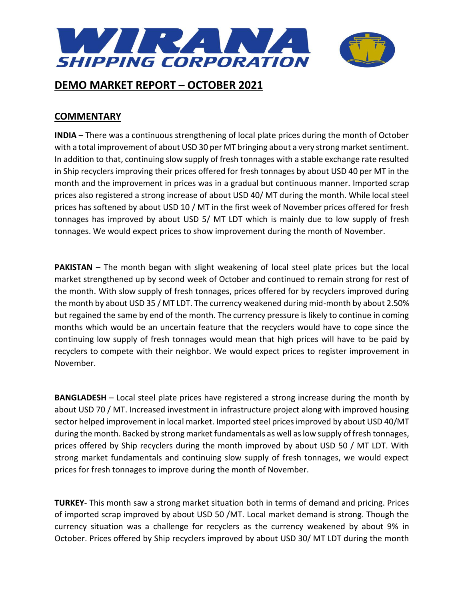

### **COMMENTARY**

**INDIA** – There was a continuous strengthening of local plate prices during the month of October with a total improvement of about USD 30 per MT bringing about a very strong market sentiment. In addition to that, continuing slow supply of fresh tonnages with a stable exchange rate resulted in Ship recyclers improving their prices offered for fresh tonnages by about USD 40 per MT in the month and the improvement in prices was in a gradual but continuous manner. Imported scrap prices also registered a strong increase of about USD 40/ MT during the month. While local steel prices has softened by about USD 10 / MT in the first week of November prices offered for fresh tonnages has improved by about USD 5/ MT LDT which is mainly due to low supply of fresh tonnages. We would expect prices to show improvement during the month of November.

**PAKISTAN** – The month began with slight weakening of local steel plate prices but the local market strengthened up by second week of October and continued to remain strong for rest of the month. With slow supply of fresh tonnages, prices offered for by recyclers improved during the month by about USD 35 / MT LDT. The currency weakened during mid-month by about 2.50% but regained the same by end of the month. The currency pressure is likely to continue in coming months which would be an uncertain feature that the recyclers would have to cope since the continuing low supply of fresh tonnages would mean that high prices will have to be paid by recyclers to compete with their neighbor. We would expect prices to register improvement in November.

**BANGLADESH** – Local steel plate prices have registered a strong increase during the month by about USD 70 / MT. Increased investment in infrastructure project along with improved housing sector helped improvement in local market. Imported steel prices improved by about USD 40/MT during the month. Backed by strong market fundamentals as well as low supply of fresh tonnages, prices offered by Ship recyclers during the month improved by about USD 50 / MT LDT. With strong market fundamentals and continuing slow supply of fresh tonnages, we would expect prices for fresh tonnages to improve during the month of November.

**TURKEY**- This month saw a strong market situation both in terms of demand and pricing. Prices of imported scrap improved by about USD 50 /MT. Local market demand is strong. Though the currency situation was a challenge for recyclers as the currency weakened by about 9% in October. Prices offered by Ship recyclers improved by about USD 30/ MT LDT during the month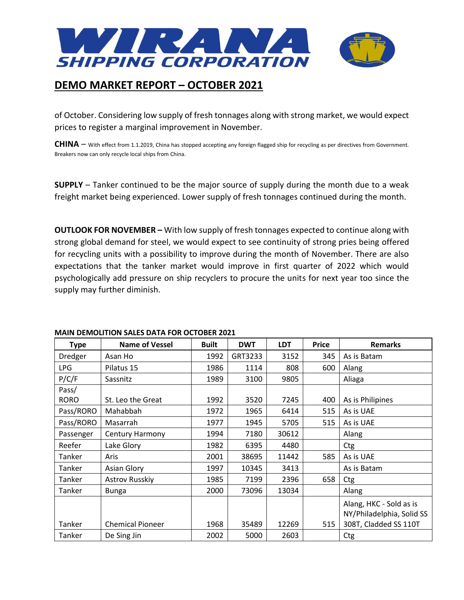

of October. Considering low supply of fresh tonnages along with strong market, we would expect prices to register a marginal improvement in November.

**CHINA** – With effect from 1.1.2019, China has stopped accepting any foreign flagged ship for recycling as per directives from Government. Breakers now can only recycle local ships from China.

**SUPPLY** – Tanker continued to be the major source of supply during the month due to a weak freight market being experienced. Lower supply of fresh tonnages continued during the month.

**OUTLOOK FOR NOVEMBER –** With low supply of fresh tonnages expected to continue along with strong global demand for steel, we would expect to see continuity of strong pries being offered for recycling units with a possibility to improve during the month of November. There are also expectations that the tanker market would improve in first quarter of 2022 which would psychologically add pressure on ship recyclers to procure the units for next year too since the supply may further diminish.

| <b>Type</b> | <b>Name of Vessel</b>   | <b>Built</b> | <b>DWT</b> | <b>LDT</b> | <b>Price</b> | <b>Remarks</b>            |
|-------------|-------------------------|--------------|------------|------------|--------------|---------------------------|
| Dredger     | Asan Ho                 | 1992         | GRT3233    | 3152       | 345          | As is Batam               |
| <b>LPG</b>  | Pilatus 15              | 1986         | 1114       | 808        | 600          | Alang                     |
| P/C/F       | Sassnitz                | 1989         | 3100       | 9805       |              | Aliaga                    |
| Pass/       |                         |              |            |            |              |                           |
| <b>RORO</b> | St. Leo the Great       | 1992         | 3520       | 7245       | 400          | As is Philipines          |
| Pass/RORO   | Mahabbah                | 1972         | 1965       | 6414       | 515          | As is UAE                 |
| Pass/RORO   | Masarrah                | 1977         | 1945       | 5705       | 515          | As is UAE                 |
| Passenger   | Century Harmony         | 1994         | 7180       | 30612      |              | Alang                     |
| Reefer      | Lake Glory              | 1982         | 6395       | 4480       |              | Ctg                       |
| Tanker      | Aris                    | 2001         | 38695      | 11442      | 585          | As is UAE                 |
| Tanker      | Asian Glory             | 1997         | 10345      | 3413       |              | As is Batam               |
| Tanker      | Astrov Russkiy          | 1985         | 7199       | 2396       | 658          | Ctg                       |
| Tanker      | <b>Bunga</b>            | 2000         | 73096      | 13034      |              | Alang                     |
|             |                         |              |            |            |              | Alang, HKC - Sold as is   |
|             |                         |              |            |            |              | NY/Philadelphia, Solid SS |
| Tanker      | <b>Chemical Pioneer</b> | 1968         | 35489      | 12269      | 515          | 308T, Cladded SS 110T     |
| Tanker      | De Sing Jin             | 2002         | 5000       | 2603       |              | Ctg                       |

#### **MAIN DEMOLITION SALES DATA FOR OCTOBER 2021**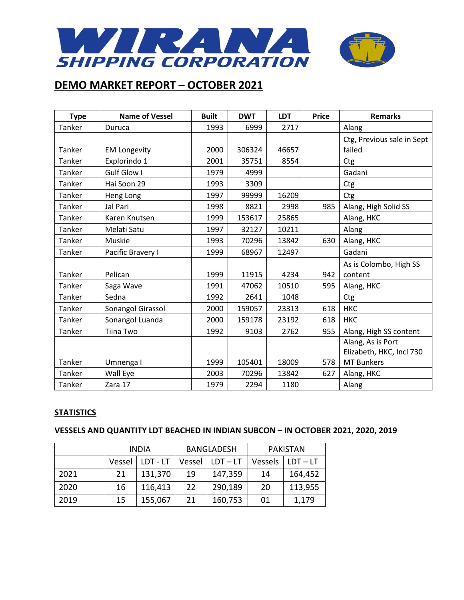

| <b>Type</b> | <b>Name of Vessel</b> | <b>Built</b> | <b>DWT</b> | <b>LDT</b> | <b>Price</b> | <b>Remarks</b>             |
|-------------|-----------------------|--------------|------------|------------|--------------|----------------------------|
| Tanker      | Duruca                | 1993         | 6999       | 2717       |              | Alang                      |
|             |                       |              |            |            |              | Ctg, Previous sale in Sept |
| Tanker      | <b>EM Longevity</b>   | 2000         | 306324     | 46657      |              | failed                     |
| Tanker      | Explorindo 1          | 2001         | 35751      | 8554       |              | Ctg                        |
| Tanker      | Gulf Glow I           | 1979         | 4999       |            |              | Gadani                     |
| Tanker      | Hai Soon 29           | 1993         | 3309       |            |              | Ctg                        |
| Tanker      | Heng Long             | 1997         | 99999      | 16209      |              | Ctg                        |
| Tanker      | Jal Pari              | 1998         | 8821       | 2998       | 985          | Alang, High Solid SS       |
| Tanker      | Karen Knutsen         | 1999         | 153617     | 25865      |              | Alang, HKC                 |
| Tanker      | Melati Satu           | 1997         | 32127      | 10211      |              | Alang                      |
| Tanker      | Muskie                | 1993         | 70296      | 13842      | 630          | Alang, HKC                 |
| Tanker      | Pacific Bravery I     | 1999         | 68967      | 12497      |              | Gadani                     |
|             |                       |              |            |            |              | As is Colombo, High SS     |
| Tanker      | Pelican               | 1999         | 11915      | 4234       | 942          | content                    |
| Tanker      | Saga Wave             | 1991         | 47062      | 10510      | 595          | Alang, HKC                 |
| Tanker      | Sedna                 | 1992         | 2641       | 1048       |              | Ctg                        |
| Tanker      | Sonangol Girassol     | 2000         | 159057     | 23313      | 618          | <b>HKC</b>                 |
| Tanker      | Sonangol Luanda       | 2000         | 159178     | 23192      | 618          | <b>HKC</b>                 |
| Tanker      | Tiina Two             | 1992         | 9103       | 2762       | 955          | Alang, High SS content     |
|             |                       |              |            |            |              | Alang, As is Port          |
|             |                       |              |            |            |              | Elizabeth, HKC, Incl 730   |
| Tanker      | Umnenga I             | 1999         | 105401     | 18009      | 578          | <b>MT Bunkers</b>          |
| Tanker      | Wall Eye              | 2003         | 70296      | 13842      | 627          | Alang, HKC                 |
| Tanker      | Zara 17               | 1979         | 2294       | 1180       |              | Alang                      |

### **STATISTICS**

### **VESSELS AND QUANTITY LDT BEACHED IN INDIAN SUBCON – IN OCTOBER 2021, 2020, 2019**

|      | <b>INDIA</b> |          | <b>BANGLADESH</b> |            | <b>PAKISTAN</b> |            |
|------|--------------|----------|-------------------|------------|-----------------|------------|
|      | Vessel       | LDT - LT | Vessel            | $LDT - LT$ | Vessels         | $LDT - LT$ |
| 2021 | 21           | 131,370  | 19                | 147,359    | 14              | 164,452    |
| 2020 | 16           | 116,413  | 22                | 290,189    | 20              | 113,955    |
| 2019 | 15           | 155,067  | 21                | 160,753    | 01              | 1,179      |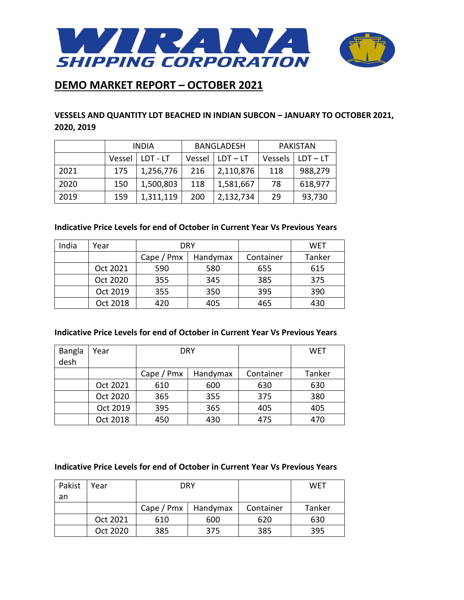

### **VESSELS AND QUANTITY LDT BEACHED IN INDIAN SUBCON – JANUARY TO OCTOBER 2021, 2020, 2019**

|      | <b>INDIA</b> |           | <b>BANGLADESH</b> |            | <b>PAKISTAN</b> |            |
|------|--------------|-----------|-------------------|------------|-----------------|------------|
|      | Vessel       | LDT - LT  | Vessel            | $LDT - LT$ | Vessels         | $LDT - LT$ |
| 2021 | 175          | 1,256,776 | 216               | 2,110,876  | 118             | 988,279    |
| 2020 | 150          | 1,500,803 | 118               | 1,581,667  | 78              | 618,977    |
| 2019 | 159          | 1,311,119 | 200               | 2,132,734  | 29              | 93,730     |

### **Indicative Price Levels for end of October in Current Year Vs Previous Years**

| India | Year     | DRY             |          |           | WET    |
|-------|----------|-----------------|----------|-----------|--------|
|       |          | Cape $/$ Pm $x$ | Handymax | Container | Tanker |
|       | Oct 2021 | 590             | 580      | 655       | 615    |
|       | Oct 2020 | 355             | 345      | 385       | 375    |
|       | Oct 2019 | 355             | 350      | 395       | 390    |
|       | Oct 2018 | 420             | 405      | 465       | 430    |

#### **Indicative Price Levels for end of October in Current Year Vs Previous Years**

| <b>Bangla</b><br>desh | Year     |                 | <b>DRY</b> |           | WET    |
|-----------------------|----------|-----------------|------------|-----------|--------|
|                       |          | Cape $/$ Pm $x$ | Handymax   | Container | Tanker |
|                       | Oct 2021 | 610             | 600        | 630       | 630    |
|                       | Oct 2020 | 365             | 355        | 375       | 380    |
|                       | Oct 2019 | 395             | 365        | 405       | 405    |
|                       | Oct 2018 | 450             | 430        | 475       | 470    |

#### **Indicative Price Levels for end of October in Current Year Vs Previous Years**

| Pakist | Year     |                       | DRY |           | <b>WET</b> |
|--------|----------|-----------------------|-----|-----------|------------|
| an     |          |                       |     |           |            |
|        |          | Cape / Pmx   Handymax |     | Container | Tanker     |
|        | Oct 2021 | 610                   | 600 | 620       | 630        |
|        | Oct 2020 | 385                   | 375 | 385       | 395        |